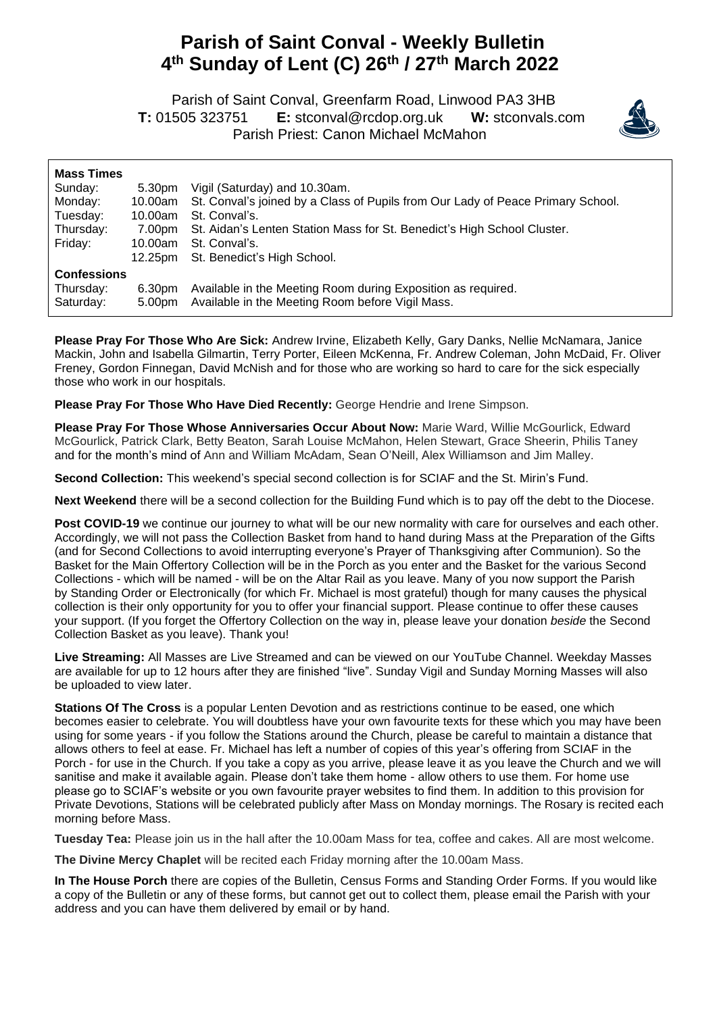## **Parish of Saint Conval - Weekly Bulletin 4 th Sunday of Lent (C) 26th / 27 th March 2022**

 Parish of Saint Conval, Greenfarm Road, Linwood PA3 3HB **T:** 01505 323751 **E:** [stconval@rcdop.org.uk](mailto:stconval@rcdop.org.uk) **W:** stconvals.com Parish Priest: Canon Michael McMahon



| 5.30pm<br>10.00am<br>7.00pm<br>10.00am<br>12.25pm | Vigil (Saturday) and 10.30am.<br>St. Conval's joined by a Class of Pupils from Our Lady of Peace Primary School.<br>St. Conval's.<br>St. Aidan's Lenten Station Mass for St. Benedict's High School Cluster.<br>St. Conval's.<br>St. Benedict's High School. |
|---------------------------------------------------|--------------------------------------------------------------------------------------------------------------------------------------------------------------------------------------------------------------------------------------------------------------|
|                                                   |                                                                                                                                                                                                                                                              |
| 6.30pm                                            | Available in the Meeting Room during Exposition as required.<br>Available in the Meeting Room before Vigil Mass.                                                                                                                                             |
|                                                   | 10.00am<br>5.00pm                                                                                                                                                                                                                                            |

**Please Pray For Those Who Are Sick:** Andrew Irvine, Elizabeth Kelly, Gary Danks, Nellie McNamara, Janice Mackin, John and Isabella Gilmartin, Terry Porter, Eileen McKenna, Fr. Andrew Coleman, John McDaid, Fr. Oliver Freney, Gordon Finnegan, David McNish and for those who are working so hard to care for the sick especially those who work in our hospitals.

**Please Pray For Those Who Have Died Recently:** George Hendrie and Irene Simpson.

**Please Pray For Those Whose Anniversaries Occur About Now:** Marie Ward, Willie McGourlick, Edward McGourlick, Patrick Clark, Betty Beaton, Sarah Louise McMahon, Helen Stewart, Grace Sheerin, Philis Taney and for the month's mind of Ann and William McAdam, Sean O'Neill, Alex Williamson and Jim Malley.

**Second Collection:** This weekend's special second collection is for SCIAF and the St. Mirin's Fund.

**Next Weekend** there will be a second collection for the Building Fund which is to pay off the debt to the Diocese.

**Post COVID-19** we continue our journey to what will be our new normality with care for ourselves and each other. Accordingly, we will not pass the Collection Basket from hand to hand during Mass at the Preparation of the Gifts (and for Second Collections to avoid interrupting everyone's Prayer of Thanksgiving after Communion). So the Basket for the Main Offertory Collection will be in the Porch as you enter and the Basket for the various Second Collections - which will be named - will be on the Altar Rail as you leave. Many of you now support the Parish by Standing Order or Electronically (for which Fr. Michael is most grateful) though for many causes the physical collection is their only opportunity for you to offer your financial support. Please continue to offer these causes your support. (If you forget the Offertory Collection on the way in, please leave your donation *beside* the Second Collection Basket as you leave). Thank you!

**Live Streaming:** All Masses are Live Streamed and can be viewed on our YouTube Channel. Weekday Masses are available for up to 12 hours after they are finished "live". Sunday Vigil and Sunday Morning Masses will also be uploaded to view later.

**Stations Of The Cross** is a popular Lenten Devotion and as restrictions continue to be eased, one which becomes easier to celebrate. You will doubtless have your own favourite texts for these which you may have been using for some years - if you follow the Stations around the Church, please be careful to maintain a distance that allows others to feel at ease. Fr. Michael has left a number of copies of this year's offering from SCIAF in the Porch - for use in the Church. If you take a copy as you arrive, please leave it as you leave the Church and we will sanitise and make it available again. Please don't take them home - allow others to use them. For home use please go to SCIAF's website or you own favourite prayer websites to find them. In addition to this provision for Private Devotions, Stations will be celebrated publicly after Mass on Monday mornings. The Rosary is recited each morning before Mass.

**Tuesday Tea:** Please join us in the hall after the 10.00am Mass for tea, coffee and cakes. All are most welcome.

**The Divine Mercy Chaplet** will be recited each Friday morning after the 10.00am Mass.

**In The House Porch** there are copies of the Bulletin, Census Forms and Standing Order Forms. If you would like a copy of the Bulletin or any of these forms, but cannot get out to collect them, please email the Parish with your address and you can have them delivered by email or by hand.